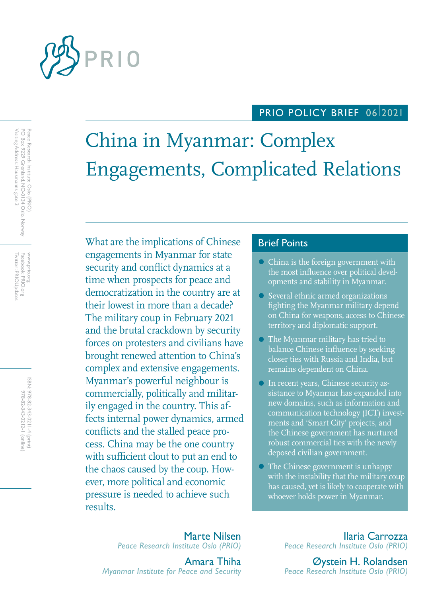

## PRIO POLICY BRIEF 06/2021

# China in Myanmar: Complex Engagements, Complicated Relations

What are the implications of Chinese Brief Points engagements in Myanmar for state security and conflict dynamics at a time when prospects for peace and democratization in the country are at their lowest in more than a decade? The military coup in February 2021 and the brutal crackdown by security forces on protesters and civilians have brought renewed attention to China's complex and extensive engagements. Myanmar's powerful neighbour is commercially, politically and militarily engaged in the country. This affects internal power dynamics, armed conflicts and the stalled peace process. China may be the one country with sufficient clout to put an end to the chaos caused by the coup. However, more political and economic pressure is needed to achieve such results.

- **China is the foreign government with** the most influence over political developments and stability in Myanmar.
- Several ethnic armed organizations fighting the Myanmar military depend on China for weapons, access to Chinese territory and diplomatic support.
- The Myanmar military has tried to balance Chinese influence by seeking closer ties with Russia and India, but remains dependent on China.
- In recent years, Chinese security assistance to Myanmar has expanded into new domains, such as information and communication technology (ICT) investments and 'Smart City' projects, and the Chinese government has nurtured robust commercial ties with the newly deposed civilian government.
- The Chinese government is unhappy with the instability that the military coup has caused, yet is likely to cooperate with whoever holds power in Myanmar.

Marte Nilsen *Peace Research Institute Oslo (PRIO)*

Amara Thiha *Myanmar Institute for Peace and Security*

Ilaria Carrozza *Peace Research Institute Oslo (PRIO)*

Øystein H. Rolandsen *Peace Research Institute Oslo (PRIO)*

Peace Research Institute Oslo (PRIO)<br>PO Box 9229 Grønland, NO-0134 Oslo, Norway<br>Visiting Address: Hausmanns gate 3 Visiting Address: Hausmanns gate 3 PO Box 9229 Grønland, NO-0134 Oslo, Norway Peace Research Institute Oslo (PRIO)

Twitter: PRIOUpdates Facebook: PRIO.org Twitter: PRIOUpdates Facebook: PRIO.org www.prio.org www.prio.org

> ISBN: 978-82-343-0211-4 (print) 978-82-343-0212-1 (online) 978-82-343-0212-1 (online) 978-82-343-0211-4 (print)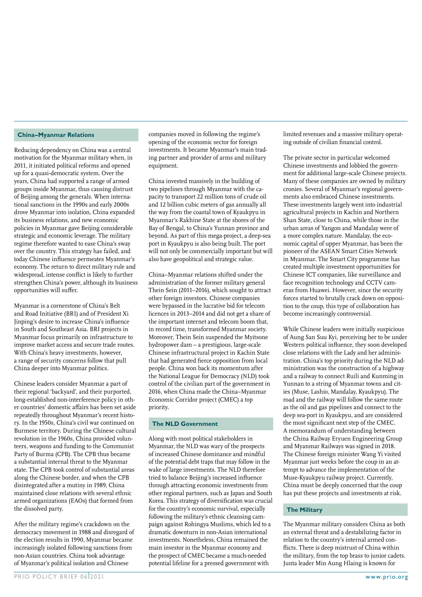#### **China–Myanmar Relations**

Reducing dependency on China was a central motivation for the Myanmar military when, in 2011, it initiated political reforms and opened up for a quasi-democratic system. Over the years, China had supported a range of armed groups inside Myanmar, thus causing distrust of Beijing among the generals. When international sanctions in the 1990s and early 2000s drove Myanmar into isolation, China expanded its business relations, and new economic policies in Myanmar gave Beijing considerable strategic and economic leverage. The military regime therefore wanted to ease China's sway over the country. This strategy has failed, and today Chinese influence permeates Myanmar's economy. The return to direct military rule and widespread, intense conflict is likely to further strengthen China's power, although its business opportunities will suffer.

Myanmar is a cornerstone of China's Belt and Road Initiative (BRI) and of President Xi Jinping's desire to increase China's influence in South and Southeast Asia. BRI projects in Myanmar focus primarily on infrastructure to improve market access and secure trade routes. With China's heavy investments, however, a range of security concerns follow that pull China deeper into Myanmar politics.

Chinese leaders consider Myanmar a part of their regional 'backyard', and their purported, long-established non-interference policy in other countries' domestic affairs has been set aside repeatedly throughout Myanmar's recent history. In the 1950s, China's civil war continued on Burmese territory. During the Chinese cultural revolution in the 1960s, China provided volunteers, weapons and funding to the Communist Party of Burma (CPB). The CPB thus became a substantial internal threat to the Myanmar state. The CPB took control of substantial areas along the Chinese border, and when the CPB disintegrated after a mutiny in 1989, China maintained close relations with several ethnic armed organizations (EAOs) that formed from the dissolved party.

After the military regime's crackdown on the democracy movement in 1988 and disregard of the election results in 1990, Myanmar became increasingly isolated following sanctions from non-Asian countries. China took advantage of Myanmar's political isolation and Chinese

companies moved in following the regime's opening of the economic sector for foreign investments. It became Myanmar's main trading partner and provider of arms and military equipment.

China invested massively in the building of two pipelines through Myanmar with the capacity to transport 22 million tons of crude oil and 12 billion cubic meters of gas annually all the way from the coastal town of Kyaukpyu in Myanmar's Rakhine State at the shores of the Bay of Bengal, to China's Yunnan province and beyond. As part of this mega-project, a deep-sea port in Kyaukpyu is also being built. The port will not only be commercially important but will also have geopolitical and strategic value.

China–Myanmar relations shifted under the administration of the former military general Thein Sein (2011–2016), which sought to attract other foreign investors. Chinese companies were bypassed in the lucrative bid for telecom licences in 2013–2014 and did not get a share of the important internet and telecom boom that, in record time, transformed Myanmar society. Moreover, Thein Sein suspended the Myitsone hydropower dam – a prestigious, large-scale Chinese infrastructural project in Kachin State that had generated fierce opposition from local people. China won back its momentum after the National League for Democracy (NLD) took control of the civilian part of the government in 2016, when China made the China–Myanmar Economic Corridor project (CMEC) a top priority.

#### **The NLD Government**

Along with most political stakeholders in Myanmar, the NLD was wary of the prospects of increased Chinese dominance and mindful of the potential debt traps that may follow in the wake of large investments. The NLD therefore tried to balance Beijing's increased influence through attracting economic investments from other regional partners, such as Japan and South Korea. This strategy of diversification was crucial for the country's economic survival, especially following the military's ethnic cleansing campaign against Rohingya Muslims, which led to a dramatic downturn in non-Asian international investments. Nonetheless, China remained the main investor in the Myanmar economy and the prospect of CMEC became a much-needed potential lifeline for a pressed government with

limited revenues and a massive military operating outside of civilian financial control.

The private sector in particular welcomed Chinese investments and lobbied the government for additional large-scale Chinese projects. Many of these companies are owned by military cronies. Several of Myanmar's regional governments also embraced Chinese investments. These investments largely went into industrial agricultural projects in Kachin and Northern Shan State, close to China, while those in the urban areas of Yangon and Mandalay were of a more complex nature. Mandalay, the economic capital of upper Myanmar, has been the pioneer of the ASEAN Smart Cities Network in Myanmar. The Smart City programme has created multiple investment opportunities for Chinese ICT companies, like surveillance and face recognition technology and CCTV cameras from Huawei. However, since the security forces started to brutally crack down on opposition to the coup, this type of collaboration has become increasingly controversial.

While Chinese leaders were initially suspicious of Aung San Suu Kyi, perceiving her to be under Western political influence, they soon developed close relations with the Lady and her administration. China's top priority during the NLD administration was the construction of a highway and a railway to connect Ruili and Kunming in Yunnan to a string of Myanmar towns and cities (Muse, Lashio, Mandalay, Kyaukpyu). The road and the railway will follow the same route as the oil and gas pipelines and connect to the deep sea-port in Kyaukpyu, and are considered the most significant next step of the CMEC. A memorandum of understanding between the China Railway Eryuen Engineering Group and Myanmar Railways was signed in 2018. The Chinese foreign minister Wang Yi visited Myanmar just weeks before the coup in an attempt to advance the implementation of the Muse-Kyaukpyu railway project. Currently, China must be deeply concerned that the coup has put these projects and investments at risk.

#### **The Military**

The Myanmar military considers China as both an external threat and a destabilizing factor in relation to the country's internal armed conflicts. There is deep mistrust of China within the military, from the top brass to junior cadets. Junta leader Min Aung Hlaing is known for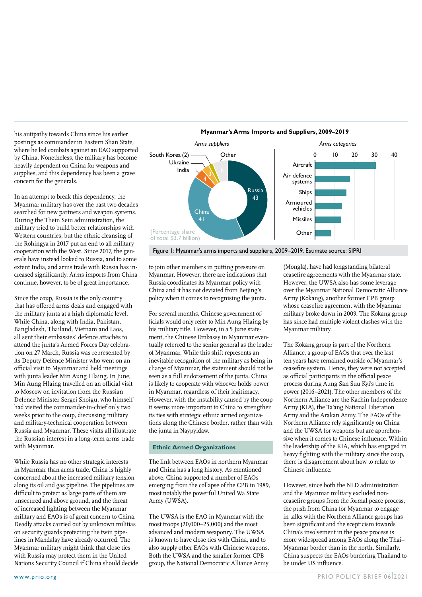his antipathy towards China since his earlier postings as commander in Eastern Shan State, where he led combats against an EAO supported by China. Nonetheless, the military has become heavily dependent on China for weapons and supplies, and this dependency has been a grave concern for the generals.

In an attempt to break this dependency, the Myanmar military has over the past two decades searched for new partners and weapon systems. During the Thein Sein administration, the military tried to build better relationships with Western countries, but the ethnic cleansing of the Rohingya in 2017 put an end to all military cooperation with the West. Since 2017, the generals have instead looked to Russia, and to some extent India, and arms trade with Russia has increased significantly. Arms imports from China continue, however, to be of great importance.

Since the coup, Russia is the only country that has offered arms deals and engaged with the military junta at a high diplomatic level. While China, along with India, Pakistan, Bangladesh, Thailand, Vietnam and Laos, all sent their embassies' defence attachés to attend the junta's Armed Forces Day celebration on 27 March, Russia was represented by its Deputy Defence Minister who went on an official visit to Myanmar and held meetings with junta leader Min Aung Hlaing. In June, Min Aung Hlaing travelled on an official visit to Moscow on invitation from the Russian Defence Minister Sergei Shoigu, who himself had visited the commander-in-chief only two weeks prior to the coup, discussing military and military-technical cooperation between Russia and Myanmar. These visits all illustrate the Russian interest in a long-term arms trade with Myanmar.

While Russia has no other strategic interests in Myanmar than arms trade, China is highly concerned about the increased military tension along its oil and gas pipeline. The pipelines are difficult to protect as large parts of them are unsecured and above ground, and the threat of increased fighting between the Myanmar military and EAOs is of great concern to China. Deadly attacks carried out by unknown militias on security guards protecting the twin pipelines in Mandalay have already occurred. The Myanmar military might think that close ties with Russia may protect them in the United Nations Security Council if China should decide



Figure 1: Myanmar's arms imports and suppliers, 2009–2019. Estimate source: SIPRI

to join other members in putting pressure on Myanmar. However, there are indications that Russia coordinates its Myanmar policy with China and it has not deviated from Beijing's policy when it comes to recognising the junta.

For several months, Chinese government officials would only refer to Min Aung Hlaing by his military title. However, in a 5 June statement, the Chinese Embassy in Myanmar eventually referred to the senior general as the leader of Myanmar. While this shift represents an inevitable recognition of the military as being in charge of Myanmar, the statement should not be seen as a full endorsement of the junta. China is likely to cooperate with whoever holds power in Myanmar, regardless of their legitimacy. However, with the instability caused by the coup it seems more important to China to strengthen its ties with strategic ethnic armed organizations along the Chinese border, rather than with the junta in Naypyidaw.

#### **Ethnic Armed Organizations**

The link between EAOs in northern Myanmar and China has a long history. As mentioned above, China supported a number of EAOs emerging from the collapse of the CPB in 1989, most notably the powerful United Wa State Army (UWSA).

The UWSA is the EAO in Myanmar with the most troops (20,000–25,000) and the most advanced and modern weaponry. The UWSA is known to have close ties with China, and to also supply other EAOs with Chinese weapons. Both the UWSA and the smaller former CPB group, the National Democratic Alliance Army

(Mongla), have had longstanding bilateral ceasefire agreements with the Myanmar state. However, the UWSA also has some leverage over the Myanmar National Democratic Alliance Army (Kokang), another former CPB group whose ceasefire agreement with the Myanmar military broke down in 2009. The Kokang group has since had multiple violent clashes with the Myanmar military.

The Kokang group is part of the Northern Alliance, a group of EAOs that over the last ten years have remained outside of Myanmar's ceasefire system. Hence, they were not accepted as official participants in the official peace process during Aung San Suu Kyi's time in power (2016–2021). The other members of the Northern Alliance are the Kachin Independence Army (KIA), the Ta'ang National Liberation Army and the Arakan Army. The EAOs of the Northern Alliance rely significantly on China and the UWSA for weapons but are apprehensive when it comes to Chinese influence. Within the leadership of the KIA, which has engaged in heavy fighting with the military since the coup, there is disagreement about how to relate to Chinese influence.

However, since both the NLD administration and the Myanmar military excluded nonceasefire groups from the formal peace process, the push from China for Myanmar to engage in talks with the Northern Alliance groups has been significant and the scepticism towards China's involvement in the peace process is more widespread among EAOs along the Thai– Myanmar border than in the north. Similarly, China suspects the EAOs bordering Thailand to be under US influence.

### **Myanmar's Arms Imports and Suppliers, 2009–2019**